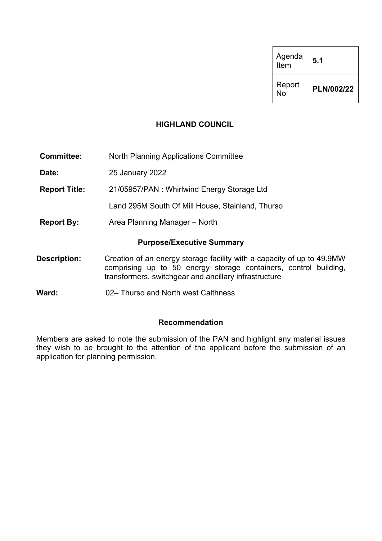| Agenda<br>Item | 5.1        |
|----------------|------------|
| Report<br>N٥   | PLN/002/22 |

## **HIGHLAND COUNCIL**

**Committee:** North Planning Applications Committee

**Date:** 25 January 2022

**Report Title:** 21/05957/PAN : Whirlwind Energy Storage Ltd

Land 295M South Of Mill House, Stainland, Thurso

**Report By:** Area Planning Manager – North

#### **Purpose/Executive Summary**

- **Description:** Creation of an energy storage facility with a capacity of up to 49.9MW comprising up to 50 energy storage containers, control building, transformers, switchgear and ancillary infrastructure
- **Ward:** 02– Thurso and North west Caithness

## **Recommendation**

Members are asked to note the submission of the PAN and highlight any material issues they wish to be brought to the attention of the applicant before the submission of an application for planning permission.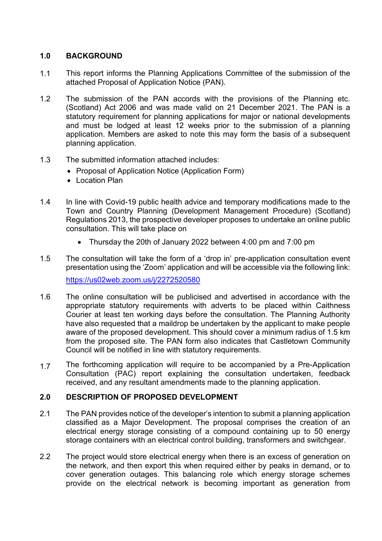# **1.0 BACKGROUND**

- 1.1 This report informs the Planning Applications Committee of the submission of the attached Proposal of Application Notice (PAN).
- 1.2 The submission of the PAN accords with the provisions of the Planning etc. (Scotland) Act 2006 and was made valid on 21 December 2021. The PAN is a statutory requirement for planning applications for major or national developments and must be lodged at least 12 weeks prior to the submission of a planning application. Members are asked to note this may form the basis of a subsequent planning application.
- 1.3 The submitted information attached includes:
	- Proposal of Application Notice (Application Form)
	- Location Plan
- 1.4 In line with Covid-19 public health advice and temporary modifications made to the Town and Country Planning (Development Management Procedure) (Scotland) Regulations 2013, the prospective developer proposes to undertake an online public consultation. This will take place on
	- Thursday the 20th of January 2022 between 4:00 pm and 7:00 pm
- 1.5 The consultation will take the form of a 'drop in' pre-application consultation event presentation using the 'Zoom' application and will be accessible via the following link: https://us02web.zoom.us/j/2272520580
- 1.6 The online consultation will be publicised and advertised in accordance with the appropriate statutory requirements with adverts to be placed within Caithness Courier at least ten working days before the consultation. The Planning Authority have also requested that a maildrop be undertaken by the applicant to make people aware of the proposed development. This should cover a minimum radius of 1.5 km from the proposed site. The PAN form also indicates that Castletown Community Council will be notified in line with statutory requirements.
- 1.7 The forthcoming application will require to be accompanied by a Pre-Application Consultation (PAC) report explaining the consultation undertaken, feedback received, and any resultant amendments made to the planning application.

## **2.0 DESCRIPTION OF PROPOSED DEVELOPMENT**

- 2.1 The PAN provides notice of the developer's intention to submit a planning application classified as a Major Development. The proposal comprises the creation of an electrical energy storage consisting of a compound containing up to 50 energy storage containers with an electrical control building, transformers and switchgear.
- 2.2 The project would store electrical energy when there is an excess of generation on the network, and then export this when required either by peaks in demand, or to cover generation outages. This balancing role which energy storage schemes provide on the electrical network is becoming important as generation from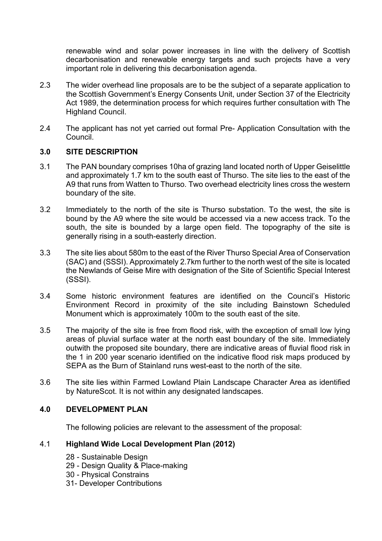renewable wind and solar power increases in line with the delivery of Scottish decarbonisation and renewable energy targets and such projects have a very important role in delivering this decarbonisation agenda.

- 2.3 The wider overhead line proposals are to be the subject of a separate application to the Scottish Government's Energy Consents Unit, under Section 37 of the Electricity Act 1989, the determination process for which requires further consultation with The Highland Council.
- 2.4 The applicant has not yet carried out formal Pre- Application Consultation with the Council.

## **3.0 SITE DESCRIPTION**

- 3.1 The PAN boundary comprises 10ha of grazing land located north of Upper Geiselittle and approximately 1.7 km to the south east of Thurso. The site lies to the east of the A9 that runs from Watten to Thurso. Two overhead electricity lines cross the western boundary of the site.
- 3.2 Immediately to the north of the site is Thurso substation. To the west, the site is bound by the A9 where the site would be accessed via a new access track. To the south, the site is bounded by a large open field. The topography of the site is generally rising in a south-easterly direction.
- 3.3 The site lies about 580m to the east of the River Thurso Special Area of Conservation (SAC) and (SSSI). Approximately 2.7km further to the north west of the site is located the Newlands of Geise Mire with designation of the Site of Scientific Special Interest (SSSI).
- 3.4 Some historic environment features are identified on the Council's Historic Environment Record in proximity of the site including Bainstown Scheduled Monument which is approximately 100m to the south east of the site.
- 3.5 The majority of the site is free from flood risk, with the exception of small low lying areas of pluvial surface water at the north east boundary of the site. Immediately outwith the proposed site boundary, there are indicative areas of fluvial flood risk in the 1 in 200 year scenario identified on the indicative flood risk maps produced by SEPA as the Burn of Stainland runs west-east to the north of the site.
- 3.6 The site lies within Farmed Lowland Plain Landscape Character Area as identified by NatureScot. It is not within any designated landscapes.

## **4.0 DEVELOPMENT PLAN**

The following policies are relevant to the assessment of the proposal:

## 4.1 **Highland Wide Local Development Plan (2012)**

- 28 Sustainable Design
- 29 Design Quality & Place-making
- 30 Physical Constrains
- 31- Developer Contributions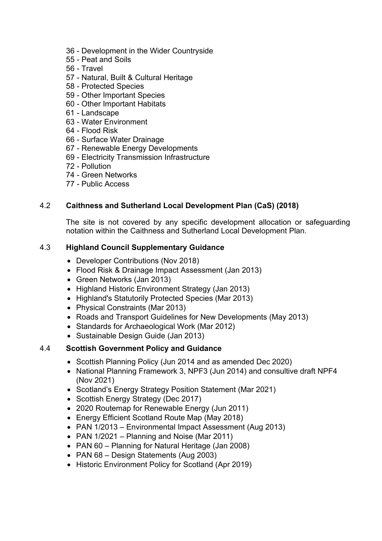- 36 Development in the Wider Countryside
- 55 Peat and Soils
- 56 Travel
- 57 Natural, Built & Cultural Heritage
- 58 Protected Species
- 59 Other Important Species
- 60 Other Important Habitats
- 61 Landscape
- 63 Water Environment
- 64 Flood Risk
- 66 Surface Water Drainage
- 67 Renewable Energy Developments
- 69 Electricity Transmission Infrastructure
- 72 Pollution
- 74 Green Networks
- 77 Public Access

# 4.2 **Caithness and Sutherland Local Development Plan (CaS) (2018)**

The site is not covered by any specific development allocation or safeguarding notation within the Caithness and Sutherland Local Development Plan.

# 4.3 **Highland Council Supplementary Guidance**

- Developer Contributions (Nov 2018)
- Flood Risk & Drainage Impact Assessment (Jan 2013)
- Green Networks (Jan 2013)
- Highland Historic Environment Strategy (Jan 2013)
- Highland's Statutorily Protected Species (Mar 2013)
- Physical Constraints (Mar 2013)
- Roads and Transport Guidelines for New Developments (May 2013)
- Standards for Archaeological Work (Mar 2012)
- Sustainable Design Guide (Jan 2013)

## 4.4 **Scottish Government Policy and Guidance**

- Scottish Planning Policy (Jun 2014 and as amended Dec 2020)
- National Planning Framework 3, NPF3 (Jun 2014) and consultive draft NPF4 (Nov 2021)
- Scotland's Energy Strategy Position Statement (Mar 2021)
- Scottish Energy Strategy (Dec 2017)
- 2020 Routemap for Renewable Energy (Jun 2011)
- Energy Efficient Scotland Route Map (May 2018)
- PAN 1/2013 Environmental Impact Assessment (Aug 2013)
- PAN 1/2021 Planning and Noise (Mar 2011)
- PAN 60 Planning for Natural Heritage (Jan 2008)
- PAN 68 Design Statements (Aug 2003)
- Historic Environment Policy for Scotland (Apr 2019)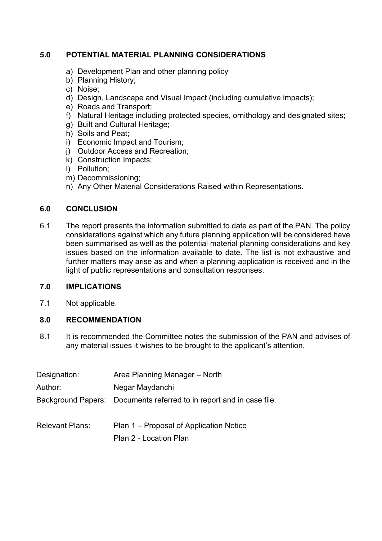# **5.0 POTENTIAL MATERIAL PLANNING CONSIDERATIONS**

- a) Development Plan and other planning policy
- b) Planning History;
- c) Noise;
- d) Design, Landscape and Visual Impact (including cumulative impacts);
- e) Roads and Transport;
- f) Natural Heritage including protected species, ornithology and designated sites;
- g) Built and Cultural Heritage;
- h) Soils and Peat;
- i) Economic Impact and Tourism;
- j) Outdoor Access and Recreation;
- k) Construction Impacts;
- l) Pollution;
- m) Decommissioning;
- n) Any Other Material Considerations Raised within Representations.

## **6.0 CONCLUSION**

6.1 The report presents the information submitted to date as part of the PAN. The policy considerations against which any future planning application will be considered have been summarised as well as the potential material planning considerations and key issues based on the information available to date. The list is not exhaustive and further matters may arise as and when a planning application is received and in the light of public representations and consultation responses.

## **7.0 IMPLICATIONS**

7.1 Not applicable.

# **8.0 RECOMMENDATION**

8.1 It is recommended the Committee notes the submission of the PAN and advises of any material issues it wishes to be brought to the applicant's attention.

| Designation:           | Area Planning Manager – North                                        |
|------------------------|----------------------------------------------------------------------|
| Author:                | Negar Maydanchi                                                      |
|                        | Background Papers: Documents referred to in report and in case file. |
| <b>Relevant Plans:</b> | Plan 1 – Proposal of Application Notice                              |
|                        | Plan 2 - Location Plan                                               |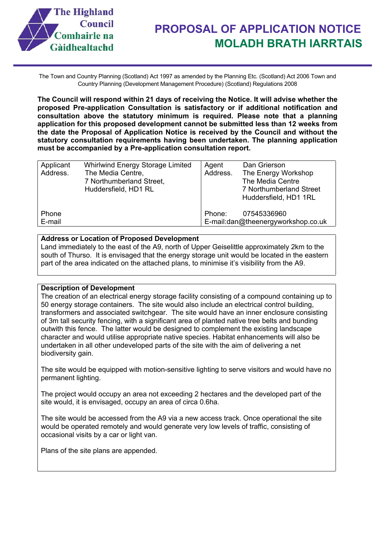

The Town and Country Planning (Scotland) Act 1997 as amended by the Planning Etc. (Scotland) Act 2006 Town and Country Planning (Development Management Procedure) (Scotland) Regulations 2008

**The Council will respond within 21 days of receiving the Notice. It will advise whether the proposed Pre-application Consultation is satisfactory or if additional notification and consultation above the statutory minimum is required. Please note that a planning application for this proposed development cannot be submitted less than 12 weeks from the date the Proposal of Application Notice is received by the Council and without the statutory consultation requirements having been undertaken. The planning application must be accompanied by a Pre-application consultation report.**

| Applicant | <b>Whirlwind Energy Storage Limited</b> | Agent    | Dan Grierson                       |
|-----------|-----------------------------------------|----------|------------------------------------|
| Address.  | The Media Centre,                       | Address. | The Energy Workshop                |
|           | 7 Northumberland Street,                |          | The Media Centre                   |
|           | Huddersfield, HD1 RL                    |          | 7 Northumberland Street            |
|           |                                         |          | Huddersfield, HD1 1RL              |
| Phone     |                                         | Phone:   | 07545336960                        |
| E-mail    |                                         |          | E-mail:dan@theenergyworkshop.co.uk |

#### **Address or Location of Proposed Development**

Land immediately to the east of the A9, north of Upper Geiselittle approximately 2km to the south of Thurso. It is envisaged that the energy storage unit would be located in the eastern part of the area indicated on the attached plans, to minimise it's visibility from the A9.

#### **Description of Development**

The creation of an electrical energy storage facility consisting of a compound containing up to 50 energy storage containers. The site would also include an electrical control building, transformers and associated switchgear. The site would have an inner enclosure consisting of 3m tall security fencing, with a significant area of planted native tree belts and bunding outwith this fence. The latter would be designed to complement the existing landscape character and would utilise appropriate native species. Habitat enhancements will also be undertaken in all other undeveloped parts of the site with the aim of delivering a net biodiversity gain.

The site would be equipped with motion-sensitive lighting to serve visitors and would have no permanent lighting.

The project would occupy an area not exceeding 2 hectares and the developed part of the site would, it is envisaged, occupy an area of circa 0.6ha.

The site would be accessed from the A9 via a new access track. Once operational the site would be operated remotely and would generate very low levels of traffic, consisting of occasional visits by a car or light van.

Plans of the site plans are appended.